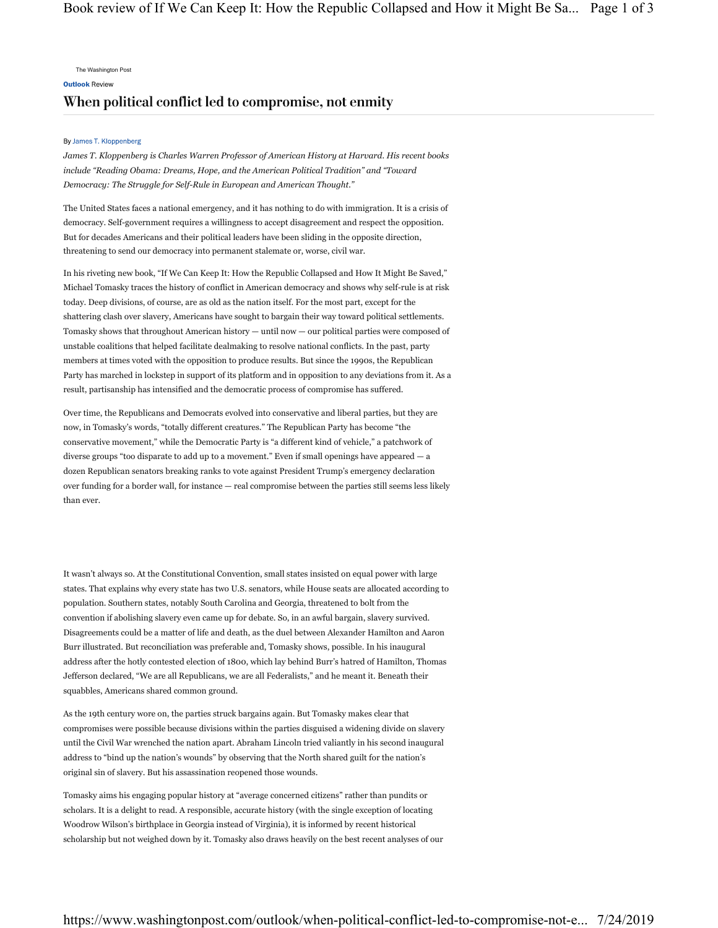#### The Washington Post

**Outlook Review** 

# When political conflict led to compromise, not enmity

## By James T. Kloppenberg

James T. Kloppenberg is Charles Warren Professor of American History at Harvard. His recent books include "Reading Obama: Dreams, Hope, and the American Political Tradition" and "Toward Democracy: The Struggle for Self-Rule in European and American Thought."

The United States faces a national emergency, and it has nothing to do with immigration. It is a crisis of democracy. Self-government requires a willingness to accept disagreement and respect the opposition. But for decades Americans and their political leaders have been sliding in the opposite direction, threatening to send our democracy into permanent stalemate or, worse, civil war.

In his riveting new book, "If We Can Keep It: How the Republic Collapsed and How It Might Be Saved," Michael Tomasky traces the history of conflict in American democracy and shows why self-rule is at risk today. Deep divisions, of course, are as old as the nation itself. For the most part, except for the shattering clash over slavery, Americans have sought to bargain their way toward political settlements. Tomasky shows that throughout American history — until now — our political parties were composed of unstable coalitions that helped facilitate dealmaking to resolve national conflicts. In the past, party members at times voted with the opposition to produce results. But since the 1990s, the Republican Party has marched in lockstep in support of its platform and in opposition to any deviations from it. As a result, partisanship has intensified and the democratic process of compromise has suffered.

Over time, the Republicans and Democrats evolved into conservative and liberal parties, but they are now, in Tomasky's words, "totally different creatures." The Republican Party has become "the conservative movement," while the Democratic Party is "a different kind of vehicle," a patchwork of diverse groups "too disparate to add up to a movement." Even if small openings have appeared — a dozen Republican senators breaking ranks to vote against President Trump's emergency declaration over funding for a border wall, for instance — real compromise between the parties still seems less likely than ever.

It wasn't always so. At the Constitutional Convention, small states insisted on equal power with large states. That explains why every state has two U.S. senators, while House seats are allocated according to population. Southern states, notably South Carolina and Georgia, threatened to bolt from the convention if abolishing slavery even came up for debate. So, in an awful bargain, slavery survived. Disagreements could be a matter of life and death, as the duel between Alexander Hamilton and Aaron Burr illustrated. But reconciliation was preferable and, Tomasky shows, possible. In his inaugural address after the hotly contested election of 1800, which lay behind Burr's hatred of Hamilton, Thomas Jefferson declared, "We are all Republicans, we are all Federalists," and he meant it. Beneath their squabbles, Americans shared common ground.

As the 19th century wore on, the parties struck bargains again. But Tomasky makes clear that compromises were possible because divisions within the parties disguised a widening divide on slavery until the Civil War wrenched the nation apart. Abraham Lincoln tried valiantly in his second inaugural address to "bind up the nation's wounds" by observing that the North shared guilt for the nation's original sin of slavery. But his assassination reopened those wounds.

Tomasky aims his engaging popular history at "average concerned citizens" rather than pundits or scholars. It is a delight to read. A responsible, accurate history (with the single exception of locating Woodrow Wilson's birthplace in Georgia instead of Virginia), it is informed by recent historical scholarship but not weighed down by it. Tomasky also draws heavily on the best recent analyses of our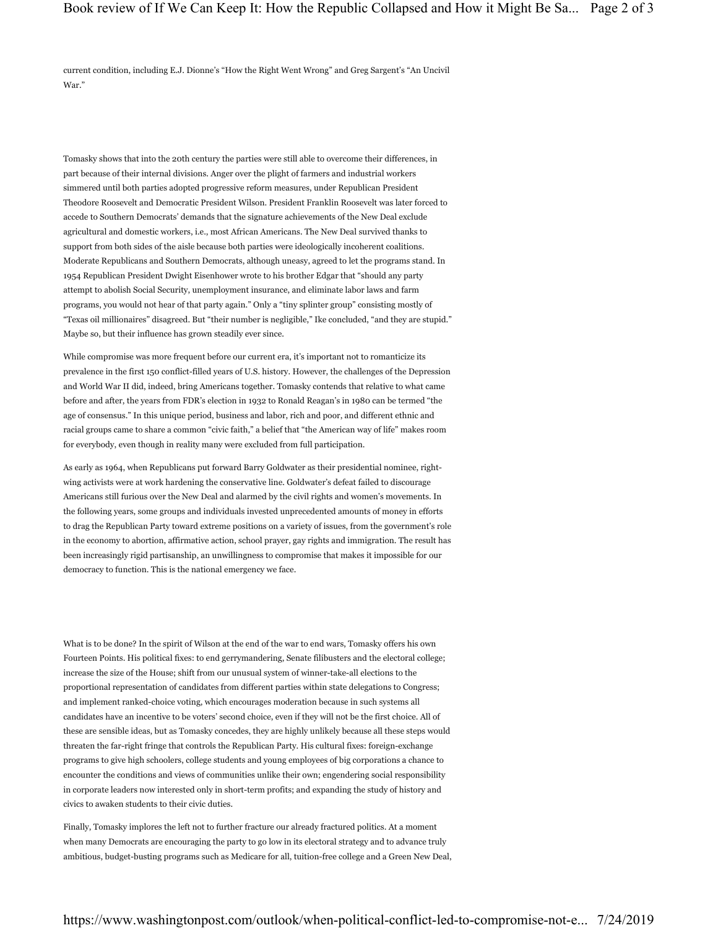current condition, including E.J. Dionne's "How the Right Went Wrong" and Greg Sargent's "An Uncivil War."

Tomasky shows that into the 20th century the parties were still able to overcome their differences, in part because of their internal divisions. Anger over the plight of farmers and industrial workers simmered until both parties adopted progressive reform measures, under Republican President Theodore Roosevelt and Democratic President Wilson. President Franklin Roosevelt was later forced to accede to Southern Democrats' demands that the signature achievements of the New Deal exclude agricultural and domestic workers, i.e., most African Americans. The New Deal survived thanks to support from both sides of the aisle because both parties were ideologically incoherent coalitions. Moderate Republicans and Southern Democrats, although uneasy, agreed to let the programs stand. In 1954 Republican President Dwight Eisenhower wrote to his brother Edgar that "should any party attempt to abolish Social Security, unemployment insurance, and eliminate labor laws and farm programs, you would not hear of that party again." Only a "tiny splinter group" consisting mostly of "Texas oil millionaires" disagreed. But "their number is negligible," Ike concluded, "and they are stupid." Maybe so, but their influence has grown steadily ever since.

While compromise was more frequent before our current era, it's important not to romanticize its prevalence in the first 150 conflict-filled years of U.S. history. However, the challenges of the Depression and World War II did, indeed, bring Americans together. Tomasky contends that relative to what came before and after, the years from FDR's election in 1932 to Ronald Reagan's in 1980 can be termed "the age of consensus." In this unique period, business and labor, rich and poor, and different ethnic and racial groups came to share a common "civic faith," a belief that "the American way of life" makes room for everybody, even though in reality many were excluded from full participation.

As early as 1964, when Republicans put forward Barry Goldwater as their presidential nominee, rightwing activists were at work hardening the conservative line. Goldwater's defeat failed to discourage Americans still furious over the New Deal and alarmed by the civil rights and women's movements. In the following years, some groups and individuals invested unprecedented amounts of money in efforts to drag the Republican Party toward extreme positions on a variety of issues, from the government's role in the economy to abortion, affirmative action, school prayer, gay rights and immigration. The result has been increasingly rigid partisanship, an unwillingness to compromise that makes it impossible for our democracy to function. This is the national emergency we face.

What is to be done? In the spirit of Wilson at the end of the war to end wars, Tomasky offers his own Fourteen Points. His political fixes: to end gerrymandering, Senate filibusters and the electoral college; increase the size of the House; shift from our unusual system of winner-take-all elections to the proportional representation of candidates from different parties within state delegations to Congress; and implement ranked-choice voting, which encourages moderation because in such systems all candidates have an incentive to be voters' second choice, even if they will not be the first choice. All of these are sensible ideas, but as Tomasky concedes, they are highly unlikely because all these steps would threaten the far-right fringe that controls the Republican Party. His cultural fixes: foreign-exchange programs to give high schoolers, college students and young employees of big corporations a chance to encounter the conditions and views of communities unlike their own; engendering social responsibility in corporate leaders now interested only in short-term profits; and expanding the study of history and civics to awaken students to their civic duties.

Finally, Tomasky implores the left not to further fracture our already fractured politics. At a moment when many Democrats are encouraging the party to go low in its electoral strategy and to advance truly ambitious, budget-busting programs such as Medicare for all, tuition-free college and a Green New Deal,